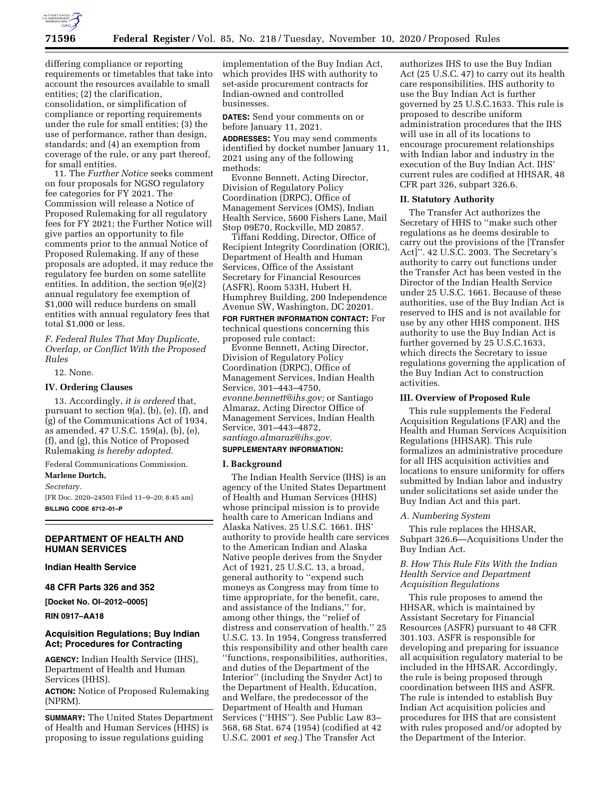

differing compliance or reporting requirements or timetables that take into account the resources available to small entities; (2) the clarification, consolidation, or simplification of compliance or reporting requirements under the rule for small entities; (3) the use of performance, rather than design, standards; and (4) an exemption from coverage of the rule, or any part thereof, for small entities.

11. The *Further Notice* seeks comment on four proposals for NGSO regulatory fee categories for FY 2021. The Commission will release a Notice of Proposed Rulemaking for all regulatory fees for FY 2021; the Further Notice will give parties an opportunity to file comments prior to the annual Notice of Proposed Rulemaking. If any of these proposals are adopted, it may reduce the regulatory fee burden on some satellite entities. In addition, the section 9(e)(2) annual regulatory fee exemption of \$1,000 will reduce burdens on small entities with annual regulatory fees that total \$1,000 or less.

*F. Federal Rules That May Duplicate, Overlap, or Conflict With the Proposed Rules* 

#### 12. None.

## **IV. Ordering Clauses**

13. Accordingly, *it is ordered* that, pursuant to section 9(a), (b), (e), (f), and (g) of the Communications Act of 1934, as amended, 47 U.S.C. 159(a), (b), (e), (f), and (g), this Notice of Proposed Rulemaking *is hereby adopted*.

Federal Communications Commission.

#### **Marlene Dortch,**

*Secretary.* 

[FR Doc. 2020–24503 Filed 11–9–20; 8:45 am] **BILLING CODE 6712–01–P** 

## **DEPARTMENT OF HEALTH AND HUMAN SERVICES**

**Indian Health Service** 

**48 CFR Parts 326 and 352** 

**[Docket No. OI–2012–0005]** 

**RIN 0917–AA18** 

## **Acquisition Regulations; Buy Indian Act; Procedures for Contracting**

**AGENCY:** Indian Health Service (IHS), Department of Health and Human Services (HHS).

**ACTION:** Notice of Proposed Rulemaking (NPRM).

**SUMMARY:** The United States Department of Health and Human Services (HHS) is proposing to issue regulations guiding

implementation of the Buy Indian Act, which provides IHS with authority to set-aside procurement contracts for Indian-owned and controlled businesses.

**DATES:** Send your comments on or before January 11, 2021.

**ADDRESSES:** You may send comments identified by docket number January 11, 2021 using any of the following methods:

Evonne Bennett, Acting Director, Division of Regulatory Policy Coordination (DRPC), Office of Management Services (OMS), Indian Health Service, 5600 Fishers Lane, Mail Stop 09E70, Rockville, MD 20857.

Tiffani Redding, Director, Office of Recipient Integrity Coordination (ORIC), Department of Health and Human Services, Office of the Assistant Secretary for Financial Resources (ASFR), Room 533H, Hubert H. Humphrey Building, 200 Independence Avenue SW, Washington, DC 20201. **FOR FURTHER INFORMATION CONTACT:** For technical questions concerning this proposed rule contact:

Evonne Bennett, Acting Director, Division of Regulatory Policy Coordination (DRPC), Office of Management Services, Indian Health Service, 301–443–4750, *[evonne.bennett@ihs.gov;](mailto:evonne.bennett@ihs.gov)* or Santiago Almaraz, Acting Director Office of Management Services, Indian Health Service, 301–443–4872, *[santiago.almaraz@ihs.gov.](mailto:santiago.almaraz@ihs.gov)*  **SUPPLEMENTARY INFORMATION:** 

# **I. Background**

The Indian Health Service (IHS) is an agency of the United States Department of Health and Human Services (HHS) whose principal mission is to provide health care to American Indians and Alaska Natives. 25 U.S.C. 1661. IHS' authority to provide health care services to the American Indian and Alaska Native people derives from the Snyder Act of 1921, 25 U.S.C. 13, a broad, general authority to ''expend such moneys as Congress may from time to time appropriate, for the benefit, care, and assistance of the Indians,'' for, among other things, the ''relief of distress and conservation of health.'' 25 U.S.C. 13. In 1954, Congress transferred this responsibility and other health care ''functions, responsibilities, authorities, and duties of the Department of the Interior'' (including the Snyder Act) to the Department of Health, Education, and Welfare, the predecessor of the Department of Health and Human Services (''HHS''). See Public Law 83– 568, 68 Stat. 674 (1954) (codified at 42 U.S.C. 2001 *et seq.*) The Transfer Act

authorizes IHS to use the Buy Indian Act (25 U.S.C. 47) to carry out its health care responsibilities. IHS authority to use the Buy Indian Act is further governed by 25 U.S.C.1633. This rule is proposed to describe uniform administration procedures that the IHS will use in all of its locations to encourage procurement relationships with Indian labor and industry in the execution of the Buy Indian Act. IHS' current rules are codified at HHSAR, 48 CFR part 326, subpart 326.6.

#### **II. Statutory Authority**

The Transfer Act authorizes the Secretary of HHS to ''make such other regulations as he deems desirable to carry out the provisions of the [Transfer Act]''. 42 U.S.C. 2003. The Secretary's authority to carry out functions under the Transfer Act has been vested in the Director of the Indian Health Service under 25 U.S.C. 1661. Because of these authorities, use of the Buy Indian Act is reserved to IHS and is not available for use by any other HHS component. IHS authority to use the Buy Indian Act is further governed by 25 U.S.C.1633, which directs the Secretary to issue regulations governing the application of the Buy Indian Act to construction activities.

#### **III. Overview of Proposed Rule**

This rule supplements the Federal Acquisition Regulations (FAR) and the Health and Human Services Acquisition Regulations (HHSAR). This rule formalizes an administrative procedure for all IHS acquisition activities and locations to ensure uniformity for offers submitted by Indian labor and industry under solicitations set aside under the Buy Indian Act and this part.

#### *A. Numbering System*

This rule replaces the HHSAR, Subpart 326.6—Acquisitions Under the Buy Indian Act.

*B. How This Rule Fits With the Indian Health Service and Department Acquisition Regulations* 

This rule proposes to amend the HHSAR, which is maintained by Assistant Secretary for Financial Resources (ASFR) pursuant to 48 CFR 301.103. ASFR is responsible for developing and preparing for issuance all acquisition regulatory material to be included in the HHSAR. Accordingly, the rule is being proposed through coordination between IHS and ASFR. The rule is intended to establish Buy Indian Act acquisition policies and procedures for IHS that are consistent with rules proposed and/or adopted by the Department of the Interior.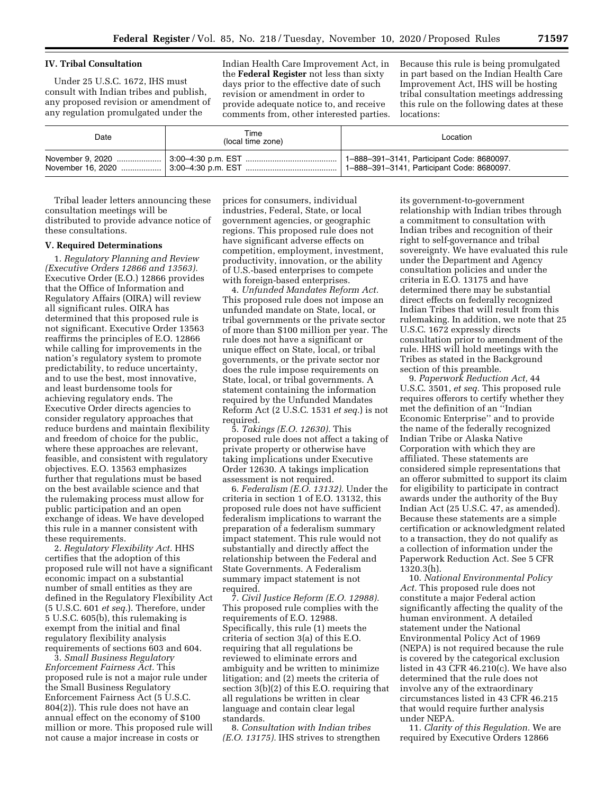### **IV. Tribal Consultation**

Under 25 U.S.C. 1672, IHS must consult with Indian tribes and publish, any proposed revision or amendment of any regulation promulgated under the

Indian Health Care Improvement Act, in the **Federal Register** not less than sixty days prior to the effective date of such revision or amendment in order to provide adequate notice to, and receive comments from, other interested parties. Because this rule is being promulgated in part based on the Indian Health Care Improvement Act, IHS will be hosting tribal consultation meetings addressing this rule on the following dates at these locations:

| Date | Time<br>(local time zone) | Location                                                                                 |
|------|---------------------------|------------------------------------------------------------------------------------------|
|      |                           | 1-888-391-3141, Participant Code: 8680097.<br>1-888-391-3141, Participant Code: 8680097. |

Tribal leader letters announcing these consultation meetings will be distributed to provide advance notice of these consultations.

#### **V. Required Determinations**

1. *Regulatory Planning and Review (Executive Orders 12866 and 13563).*  Executive Order (E.O.) 12866 provides that the Office of Information and Regulatory Affairs (OIRA) will review all significant rules. OIRA has determined that this proposed rule is not significant. Executive Order 13563 reaffirms the principles of E.O. 12866 while calling for improvements in the nation's regulatory system to promote predictability, to reduce uncertainty, and to use the best, most innovative, and least burdensome tools for achieving regulatory ends. The Executive Order directs agencies to consider regulatory approaches that reduce burdens and maintain flexibility and freedom of choice for the public, where these approaches are relevant, feasible, and consistent with regulatory objectives. E.O. 13563 emphasizes further that regulations must be based on the best available science and that the rulemaking process must allow for public participation and an open exchange of ideas. We have developed this rule in a manner consistent with these requirements.

2. *Regulatory Flexibility Act.* HHS certifies that the adoption of this proposed rule will not have a significant economic impact on a substantial number of small entities as they are defined in the Regulatory Flexibility Act (5 U.S.C. 601 *et seq.*). Therefore, under 5 U.S.C. 605(b), this rulemaking is exempt from the initial and final regulatory flexibility analysis requirements of sections 603 and 604.

3. *Small Business Regulatory Enforcement Fairness Act.* This proposed rule is not a major rule under the Small Business Regulatory Enforcement Fairness Act (5 U.S.C. 804(2)). This rule does not have an annual effect on the economy of \$100 million or more. This proposed rule will not cause a major increase in costs or

prices for consumers, individual industries, Federal, State, or local government agencies, or geographic regions. This proposed rule does not have significant adverse effects on competition, employment, investment, productivity, innovation, or the ability of U.S.-based enterprises to compete with foreign-based enterprises.

4. *Unfunded Mandates Reform Act.*  This proposed rule does not impose an unfunded mandate on State, local, or tribal governments or the private sector of more than \$100 million per year. The rule does not have a significant or unique effect on State, local, or tribal governments, or the private sector nor does the rule impose requirements on State, local, or tribal governments. A statement containing the information required by the Unfunded Mandates Reform Act (2 U.S.C. 1531 *et seq.*) is not required.

5. *Takings (E.O. 12630).* This proposed rule does not affect a taking of private property or otherwise have taking implications under Executive Order 12630. A takings implication assessment is not required.

6. *Federalism (E.O. 13132).* Under the criteria in section 1 of E.O. 13132, this proposed rule does not have sufficient federalism implications to warrant the preparation of a federalism summary impact statement. This rule would not substantially and directly affect the relationship between the Federal and State Governments. A Federalism summary impact statement is not required.

7. *Civil Justice Reform (E.O. 12988).*  This proposed rule complies with the requirements of E.O. 12988. Specifically, this rule (1) meets the criteria of section 3(a) of this E.O. requiring that all regulations be reviewed to eliminate errors and ambiguity and be written to minimize litigation; and (2) meets the criteria of section 3(b)(2) of this E.O. requiring that all regulations be written in clear language and contain clear legal standards.

8. *Consultation with Indian tribes (E.O. 13175).* IHS strives to strengthen

its government-to-government relationship with Indian tribes through a commitment to consultation with Indian tribes and recognition of their right to self-governance and tribal sovereignty. We have evaluated this rule under the Department and Agency consultation policies and under the criteria in E.O. 13175 and have determined there may be substantial direct effects on federally recognized Indian Tribes that will result from this rulemaking. In addition, we note that 25 U.S.C. 1672 expressly directs consultation prior to amendment of the rule. HHS will hold meetings with the Tribes as stated in the Background section of this preamble.

9. *Paperwork Reduction Act,* 44 U.S.C. 3501, *et seq.* This proposed rule requires offerors to certify whether they met the definition of an ''Indian Economic Enterprise'' and to provide the name of the federally recognized Indian Tribe or Alaska Native Corporation with which they are affiliated. These statements are considered simple representations that an offeror submitted to support its claim for eligibility to participate in contract awards under the authority of the Buy Indian Act (25 U.S.C. 47, as amended). Because these statements are a simple certification or acknowledgment related to a transaction, they do not qualify as a collection of information under the Paperwork Reduction Act. See 5 CFR 1320.3(h).

10. *National Environmental Policy Act.* This proposed rule does not constitute a major Federal action significantly affecting the quality of the human environment. A detailed statement under the National Environmental Policy Act of 1969 (NEPA) is not required because the rule is covered by the categorical exclusion listed in 43 CFR 46.210(c). We have also determined that the rule does not involve any of the extraordinary circumstances listed in 43 CFR 46.215 that would require further analysis under NEPA.

11. *Clarity of this Regulation.* We are required by Executive Orders 12866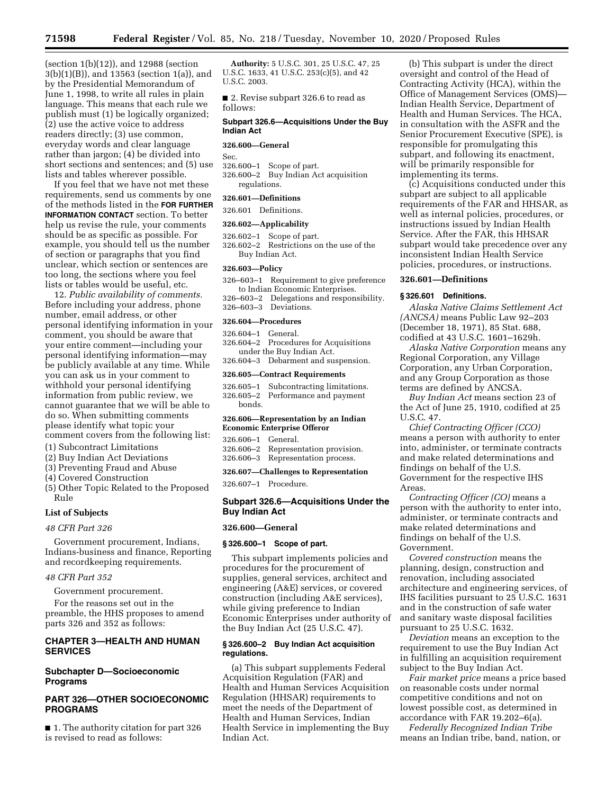(section 1(b)(12)), and 12988 (section 3(b)(1)(B)), and 13563 (section 1(a)), and by the Presidential Memorandum of June 1, 1998, to write all rules in plain language. This means that each rule we publish must (1) be logically organized; (2) use the active voice to address readers directly; (3) use common, everyday words and clear language rather than jargon; (4) be divided into short sections and sentences; and (5) use lists and tables wherever possible.

If you feel that we have not met these requirements, send us comments by one of the methods listed in the **FOR FURTHER INFORMATION CONTACT** section. To better help us revise the rule, your comments should be as specific as possible. For example, you should tell us the number of section or paragraphs that you find unclear, which section or sentences are too long, the sections where you feel lists or tables would be useful, etc.

12. *Public availability of comments.*  Before including your address, phone number, email address, or other personal identifying information in your comment, you should be aware that your entire comment—including your personal identifying information—may be publicly available at any time. While you can ask us in your comment to withhold your personal identifying information from public review, we cannot guarantee that we will be able to do so. When submitting comments please identify what topic your comment covers from the following list:

- (1) Subcontract Limitations
- (2) Buy Indian Act Deviations
- (3) Preventing Fraud and Abuse
- (4) Covered Construction
- (5) Other Topic Related to the Proposed Rule

#### **List of Subjects**

## *48 CFR Part 326*

Government procurement, Indians, Indians-business and finance, Reporting and recordkeeping requirements.

## *48 CFR Part 352*

Government procurement.

For the reasons set out in the preamble, the HHS proposes to amend parts 326 and 352 as follows:

## **CHAPTER 3—HEALTH AND HUMAN SERVICES**

## **Subchapter D—Socioeconomic Programs**

## **PART 326—OTHER SOCIOECONOMIC PROGRAMS**

■ 1. The authority citation for part 326 is revised to read as follows:

**Authority:** 5 U.S.C. 301, 25 U.S.C. 47, 25 U.S.C. 1633, 41 U.S.C. 253(c)(5), and 42 U.S.C. 2003.

■ 2. Revise subpart 326.6 to read as follows:

#### **Subpart 326.6—Acquisitions Under the Buy Indian Act**

#### **326.600—General**

Sec.

326.600–1 Scope of part. 326.600–2 Buy Indian Act acquisition regulations.

## **326.601—Definitions**

326.601 Definitions.

## **326.602—Applicability**

- 326.602–1 Scope of part.
- 326.602–2 Restrictions on the use of the Buy Indian Act.

#### **326.603—Policy**

- 326–603–1 Requirement to give preference to Indian Economic Enterprises.
- 326–603–2 Delegations and responsibility.
- 326–603–3 Deviations.

#### **326.604—Procedures**

| $326.604 - 1$ General.    |                                       |  |  |
|---------------------------|---------------------------------------|--|--|
|                           | 326.604-2 Procedures for Acquisitions |  |  |
| under the Buy Indian Act. |                                       |  |  |
|                           | 326.604-3 Debarment and suspension.   |  |  |
|                           |                                       |  |  |

#### **326.605—Contract Requirements**

326.605–1 Subcontracting limitations. 326.605–2 Performance and payment bonds.

#### **326.606—Representation by an Indian Economic Enterprise Offeror**

| 326.606-1 General. |                                     |
|--------------------|-------------------------------------|
|                    | 326.606-2 Representation provision. |
|                    | 326.606-3 Representation process.   |

#### **326.607—Challenges to Representation**

326.607–1 Procedure.

## **Subpart 326.6—Acquisitions Under the Buy Indian Act**

#### **326.600—General**

### **§ 326.600–1 Scope of part.**

This subpart implements policies and procedures for the procurement of supplies, general services, architect and engineering (A&E) services, or covered construction (including A&E services), while giving preference to Indian Economic Enterprises under authority of the Buy Indian Act (25 U.S.C. 47).

### **§ 326.600–2 Buy Indian Act acquisition regulations.**

(a) This subpart supplements Federal Acquisition Regulation (FAR) and Health and Human Services Acquisition Regulation (HHSAR) requirements to meet the needs of the Department of Health and Human Services, Indian Health Service in implementing the Buy Indian Act.

(b) This subpart is under the direct oversight and control of the Head of Contracting Activity (HCA), within the Office of Management Services (OMS)— Indian Health Service, Department of Health and Human Services. The HCA, in consultation with the ASFR and the Senior Procurement Executive (SPE), is responsible for promulgating this subpart, and following its enactment, will be primarily responsible for implementing its terms.

(c) Acquisitions conducted under this subpart are subject to all applicable requirements of the FAR and HHSAR, as well as internal policies, procedures, or instructions issued by Indian Health Service. After the FAR, this HHSAR subpart would take precedence over any inconsistent Indian Health Service policies, procedures, or instructions.

#### **326.601—Definitions**

## **§ 326.601 Definitions.**

*Alaska Native Claims Settlement Act (ANCSA)* means Public Law 92–203 (December 18, 1971), 85 Stat. 688, codified at 43 U.S.C. 1601–1629h.

*Alaska Native Corporation* means any Regional Corporation, any Village Corporation, any Urban Corporation, and any Group Corporation as those terms are defined by ANCSA.

*Buy Indian Act* means section 23 of the Act of June 25, 1910, codified at 25 U.S.C. 47.

*Chief Contracting Officer (CCO)*  means a person with authority to enter into, administer, or terminate contracts and make related determinations and findings on behalf of the U.S. Government for the respective IHS Areas.

*Contracting Officer (CO)* means a person with the authority to enter into, administer, or terminate contracts and make related determinations and findings on behalf of the U.S. Government.

*Covered construction* means the planning, design, construction and renovation, including associated architecture and engineering services, of IHS facilities pursuant to 25 U.S.C. 1631 and in the construction of safe water and sanitary waste disposal facilities pursuant to 25 U.S.C. 1632.

*Deviation* means an exception to the requirement to use the Buy Indian Act in fulfilling an acquisition requirement subject to the Buy Indian Act.

*Fair market price* means a price based on reasonable costs under normal competitive conditions and not on lowest possible cost, as determined in accordance with FAR 19.202–6(a).

*Federally Recognized Indian Tribe*  means an Indian tribe, band, nation, or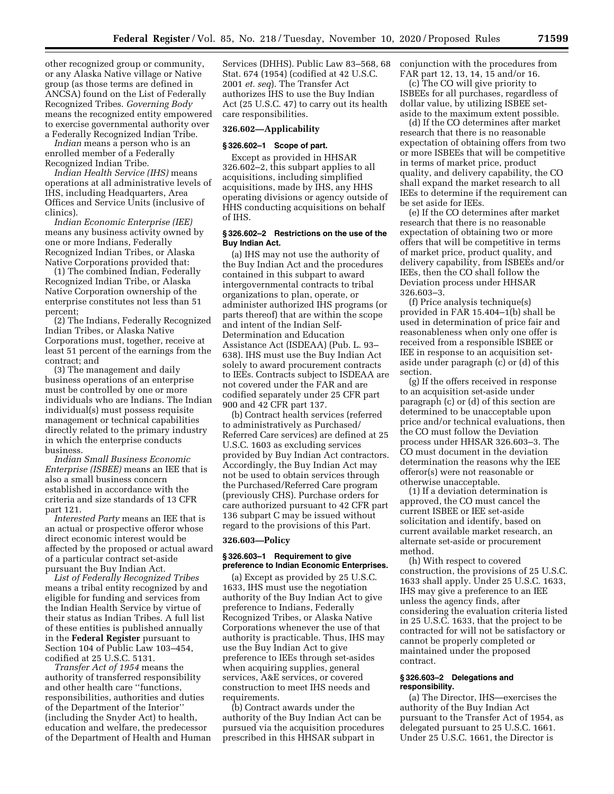other recognized group or community, or any Alaska Native village or Native group (as those terms are defined in ANCSA) found on the List of Federally Recognized Tribes. *Governing Body*  means the recognized entity empowered to exercise governmental authority over a Federally Recognized Indian Tribe.

*Indian* means a person who is an enrolled member of a Federally Recognized Indian Tribe.

*Indian Health Service (IHS)* means operations at all administrative levels of IHS, including Headquarters, Area Offices and Service Units (inclusive of clinics).

*Indian Economic Enterprise (IEE)*  means any business activity owned by one or more Indians, Federally Recognized Indian Tribes, or Alaska Native Corporations provided that:

(1) The combined Indian, Federally Recognized Indian Tribe, or Alaska Native Corporation ownership of the enterprise constitutes not less than 51 percent;

(2) The Indians, Federally Recognized Indian Tribes, or Alaska Native Corporations must, together, receive at least 51 percent of the earnings from the contract; and

(3) The management and daily business operations of an enterprise must be controlled by one or more individuals who are Indians. The Indian individual(s) must possess requisite management or technical capabilities directly related to the primary industry in which the enterprise conducts business.

*Indian Small Business Economic Enterprise (ISBEE)* means an IEE that is also a small business concern established in accordance with the criteria and size standards of 13 CFR part 121.

*Interested Party* means an IEE that is an actual or prospective offeror whose direct economic interest would be affected by the proposed or actual award of a particular contract set-aside pursuant the Buy Indian Act.

*List of Federally Recognized Tribes*  means a tribal entity recognized by and eligible for funding and services from the Indian Health Service by virtue of their status as Indian Tribes. A full list of these entities is published annually in the **Federal Register** pursuant to Section 104 of Public Law 103–454, codified at 25 U.S.C. 5131.

*Transfer Act of 1954* means the authority of transferred responsibility and other health care ''functions, responsibilities, authorities and duties of the Department of the Interior'' (including the Snyder Act) to health, education and welfare, the predecessor of the Department of Health and Human

Services (DHHS). Public Law 83–568, 68 Stat. 674 (1954) (codified at 42 U.S.C. 2001 *et. seq*). The Transfer Act authorizes IHS to use the Buy Indian Act (25 U.S.C. 47) to carry out its health care responsibilities.

#### **326.602—Applicability**

#### **§ 326.602–1 Scope of part.**

Except as provided in HHSAR 326.602–2, this subpart applies to all acquisitions, including simplified acquisitions, made by IHS, any HHS operating divisions or agency outside of HHS conducting acquisitions on behalf of IHS.

#### **§ 326.602–2 Restrictions on the use of the Buy Indian Act.**

(a) IHS may not use the authority of the Buy Indian Act and the procedures contained in this subpart to award intergovernmental contracts to tribal organizations to plan, operate, or administer authorized IHS programs (or parts thereof) that are within the scope and intent of the Indian Self-Determination and Education Assistance Act (ISDEAA) (Pub. L. 93– 638). IHS must use the Buy Indian Act solely to award procurement contracts to IEEs. Contracts subject to ISDEAA are not covered under the FAR and are codified separately under 25 CFR part 900 and 42 CFR part 137.

(b) Contract health services (referred to administratively as Purchased/ Referred Care services) are defined at 25 U.S.C. 1603 as excluding services provided by Buy Indian Act contractors. Accordingly, the Buy Indian Act may not be used to obtain services through the Purchased/Referred Care program (previously CHS). Purchase orders for care authorized pursuant to 42 CFR part 136 subpart C may be issued without regard to the provisions of this Part.

### **326.603—Policy**

### **§ 326.603–1 Requirement to give preference to Indian Economic Enterprises.**

(a) Except as provided by 25 U.S.C. 1633, IHS must use the negotiation authority of the Buy Indian Act to give preference to Indians, Federally Recognized Tribes, or Alaska Native Corporations whenever the use of that authority is practicable. Thus, IHS may use the Buy Indian Act to give preference to IEEs through set-asides when acquiring supplies, general services, A&E services, or covered construction to meet IHS needs and requirements.

(b) Contract awards under the authority of the Buy Indian Act can be pursued via the acquisition procedures prescribed in this HHSAR subpart in

conjunction with the procedures from FAR part 12, 13, 14, 15 and/or 16.

(c) The CO will give priority to ISBEEs for all purchases, regardless of dollar value, by utilizing ISBEE setaside to the maximum extent possible.

(d) If the CO determines after market research that there is no reasonable expectation of obtaining offers from two or more ISBEEs that will be competitive in terms of market price, product quality, and delivery capability, the CO shall expand the market research to all IEEs to determine if the requirement can be set aside for IEEs.

(e) If the CO determines after market research that there is no reasonable expectation of obtaining two or more offers that will be competitive in terms of market price, product quality, and delivery capability, from ISBEEs and/or IEEs, then the CO shall follow the Deviation process under HHSAR 326.603–3.

(f) Price analysis technique(s) provided in FAR 15.404–1(b) shall be used in determination of price fair and reasonableness when only one offer is received from a responsible ISBEE or IEE in response to an acquisition setaside under paragraph (c) or (d) of this section.

(g) If the offers received in response to an acquisition set-aside under paragraph (c) or (d) of this section are determined to be unacceptable upon price and/or technical evaluations, then the CO must follow the Deviation process under HHSAR 326.603–3. The CO must document in the deviation determination the reasons why the IEE offeror(s) were not reasonable or otherwise unacceptable.

(1) If a deviation determination is approved, the CO must cancel the current ISBEE or IEE set-aside solicitation and identify, based on current available market research, an alternate set-aside or procurement method.

(h) With respect to covered construction, the provisions of 25 U.S.C. 1633 shall apply. Under 25 U.S.C. 1633, IHS may give a preference to an IEE unless the agency finds, after considering the evaluation criteria listed in 25 U.S.C. 1633, that the project to be contracted for will not be satisfactory or cannot be properly completed or maintained under the proposed contract.

#### **§ 326.603–2 Delegations and responsibility.**

(a) The Director, IHS—exercises the authority of the Buy Indian Act pursuant to the Transfer Act of 1954, as delegated pursuant to 25 U.S.C. 1661. Under 25 U.S.C. 1661, the Director is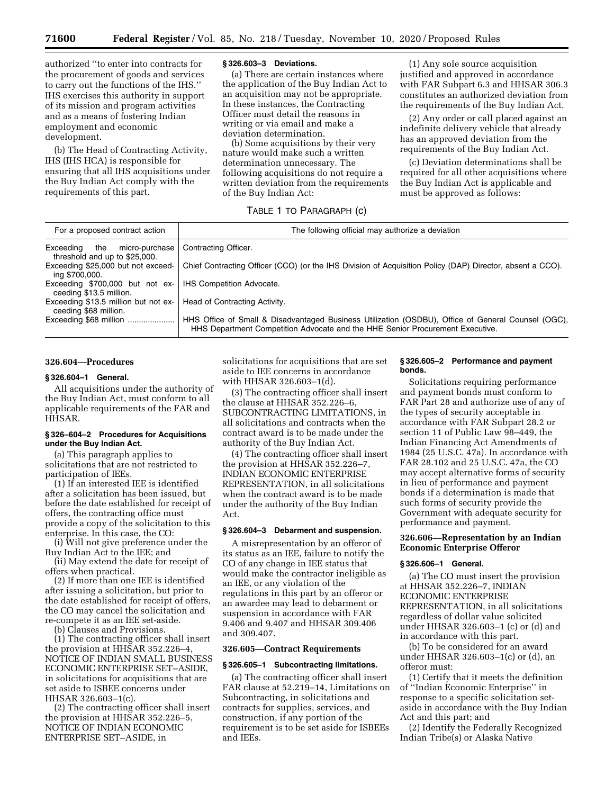authorized ''to enter into contracts for the procurement of goods and services to carry out the functions of the IHS.'' IHS exercises this authority in support of its mission and program activities and as a means of fostering Indian employment and economic development.

(b) The Head of Contracting Activity, IHS (IHS HCA) is responsible for ensuring that all IHS acquisitions under the Buy Indian Act comply with the requirements of this part.

#### **§ 326.603–3 Deviations.**

(a) There are certain instances where the application of the Buy Indian Act to an acquisition may not be appropriate. In these instances, the Contracting Officer must detail the reasons in writing or via email and make a deviation determination.

(b) Some acquisitions by their very nature would make such a written determination unnecessary. The following acquisitions do not require a written deviation from the requirements of the Buy Indian Act:

#### TABLE 1 TO PARAGRAPH (c)

| For a proposed contract action                                      | The following official may authorize a deviation                                                                                                                                    |
|---------------------------------------------------------------------|-------------------------------------------------------------------------------------------------------------------------------------------------------------------------------------|
| micro-purchase<br>Exceeding<br>the<br>threshold and up to \$25,000. | Contracting Officer.                                                                                                                                                                |
| Exceeding \$25,000 but not exceed-<br>ing \$700,000.                | Chief Contracting Officer (CCO) (or the IHS Division of Acquisition Policy (DAP) Director, absent a CCO).                                                                           |
| Exceeding \$700,000 but not ex-<br>ceeding \$13.5 million.          | <b>IHS Competition Advocate.</b>                                                                                                                                                    |
| Exceeding \$13.5 million but not ex-<br>ceeding \$68 million.       | Head of Contracting Activity.                                                                                                                                                       |
| Exceeding \$68 million                                              | HHS Office of Small & Disadvantaged Business Utilization (OSDBU), Office of General Counsel (OGC),<br>HHS Department Competition Advocate and the HHE Senior Procurement Executive. |

#### **326.604—Procedures**

#### **§ 326.604–1 General.**

All acquisitions under the authority of the Buy Indian Act, must conform to all applicable requirements of the FAR and HHSAR.

## **§ 326–604–2 Procedures for Acquisitions under the Buy Indian Act.**

(a) This paragraph applies to solicitations that are not restricted to participation of IEEs.

(1) If an interested IEE is identified after a solicitation has been issued, but before the date established for receipt of offers, the contracting office must provide a copy of the solicitation to this enterprise. In this case, the CO:

(i) Will not give preference under the Buy Indian Act to the IEE; and

(ii) May extend the date for receipt of offers when practical.

(2) If more than one IEE is identified after issuing a solicitation, but prior to the date established for receipt of offers, the CO may cancel the solicitation and re-compete it as an IEE set-aside.

(b) Clauses and Provisions.

(1) The contracting officer shall insert the provision at HHSAR 352.226–4, NOTICE OF INDIAN SMALL BUSINESS ECONOMIC ENTERPRISE SET–ASIDE, in solicitations for acquisitions that are set aside to ISBEE concerns under HHSAR 326.603–1(c).

(2) The contracting officer shall insert the provision at HHSAR 352.226–5, NOTICE OF INDIAN ECONOMIC ENTERPRISE SET–ASIDE, in

solicitations for acquisitions that are set aside to IEE concerns in accordance with HHSAR 326.603–1(d).

(3) The contracting officer shall insert the clause at HHSAR 352.226–6, SUBCONTRACTING LIMITATIONS, in all solicitations and contracts when the contract award is to be made under the authority of the Buy Indian Act.

(4) The contracting officer shall insert the provision at HHSAR 352.226–7, INDIAN ECONOMIC ENTERPRISE REPRESENTATION, in all solicitations when the contract award is to be made under the authority of the Buy Indian Act.

### **§ 326.604–3 Debarment and suspension.**

A misrepresentation by an offeror of its status as an IEE, failure to notify the CO of any change in IEE status that would make the contractor ineligible as an IEE, or any violation of the regulations in this part by an offeror or an awardee may lead to debarment or suspension in accordance with FAR 9.406 and 9.407 and HHSAR 309.406 and 309.407.

#### **326.605—Contract Requirements**

#### **§ 326.605–1 Subcontracting limitations.**

(a) The contracting officer shall insert FAR clause at 52.219–14, Limitations on Subcontracting, in solicitations and contracts for supplies, services, and construction, if any portion of the requirement is to be set aside for ISBEEs and IEEs.

#### **§ 326.605–2 Performance and payment bonds.**

Solicitations requiring performance and payment bonds must conform to FAR Part 28 and authorize use of any of the types of security acceptable in accordance with FAR Subpart 28.2 or section 11 of Public Law 98–449, the Indian Financing Act Amendments of 1984 (25 U.S.C. 47a). In accordance with FAR 28.102 and 25 U.S.C. 47a, the CO may accept alternative forms of security in lieu of performance and payment bonds if a determination is made that such forms of security provide the Government with adequate security for performance and payment.

#### **326.606—Representation by an Indian Economic Enterprise Offeror**

## **§ 326.606–1 General.**

(a) The CO must insert the provision at HHSAR 352.226–7, INDIAN ECONOMIC ENTERPRISE REPRESENTATION, in all solicitations regardless of dollar value solicited under HHSAR 326.603–1 (c) or (d) and in accordance with this part.

(b) To be considered for an award under HHSAR 326.603–1(c) or (d), an offeror must:

(1) Certify that it meets the definition of ''Indian Economic Enterprise'' in response to a specific solicitation setaside in accordance with the Buy Indian Act and this part; and

(2) Identify the Federally Recognized Indian Tribe(s) or Alaska Native

(1) Any sole source acquisition justified and approved in accordance with FAR Subpart 6.3 and HHSAR 306.3 constitutes an authorized deviation from the requirements of the Buy Indian Act.

(2) Any order or call placed against an indefinite delivery vehicle that already has an approved deviation from the requirements of the Buy Indian Act.

(c) Deviation determinations shall be required for all other acquisitions where the Buy Indian Act is applicable and must be approved as follows: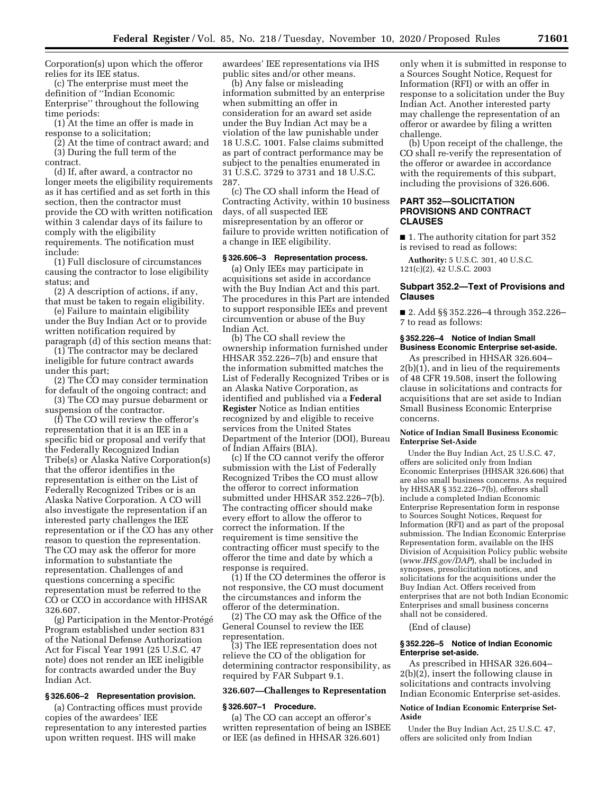Corporation(s) upon which the offeror relies for its IEE status.

(c) The enterprise must meet the definition of ''Indian Economic Enterprise'' throughout the following time periods:

(1) At the time an offer is made in response to a solicitation;

(2) At the time of contract award; and (3) During the full term of the contract.

(d) If, after award, a contractor no longer meets the eligibility requirements as it has certified and as set forth in this section, then the contractor must provide the CO with written notification within 3 calendar days of its failure to comply with the eligibility requirements. The notification must include:

(1) Full disclosure of circumstances causing the contractor to lose eligibility status; and

(2) A description of actions, if any, that must be taken to regain eligibility.

(e) Failure to maintain eligibility under the Buy Indian Act or to provide written notification required by paragraph (d) of this section means that:

(1) The contractor may be declared ineligible for future contract awards under this part;

(2) The CO may consider termination for default of the ongoing contract; and

(3) The CO may pursue debarment or suspension of the contractor.

(f) The CO will review the offeror's representation that it is an IEE in a specific bid or proposal and verify that the Federally Recognized Indian Tribe(s) or Alaska Native Corporation(s) that the offeror identifies in the representation is either on the List of Federally Recognized Tribes or is an Alaska Native Corporation. A CO will also investigate the representation if an interested party challenges the IEE representation or if the CO has any other reason to question the representation. The CO may ask the offeror for more information to substantiate the representation. Challenges of and questions concerning a specific representation must be referred to the CO or CCO in accordance with HHSAR 326.607.

(g) Participation in the Mentor-Protégé Program established under section 831 of the National Defense Authorization Act for Fiscal Year 1991 (25 U.S.C. 47 note) does not render an IEE ineligible for contracts awarded under the Buy Indian Act.

#### **§ 326.606–2 Representation provision.**

(a) Contracting offices must provide copies of the awardees' IEE representation to any interested parties upon written request. IHS will make

awardees' IEE representations via IHS public sites and/or other means.

(b) Any false or misleading information submitted by an enterprise when submitting an offer in consideration for an award set aside under the Buy Indian Act may be a violation of the law punishable under 18 U.S.C. 1001. False claims submitted as part of contract performance may be subject to the penalties enumerated in 31 U.S.C. 3729 to 3731 and 18 U.S.C. 287.

(c) The CO shall inform the Head of Contracting Activity, within 10 business days, of all suspected IEE misrepresentation by an offeror or failure to provide written notification of a change in IEE eligibility.

### **§ 326.606–3 Representation process.**

(a) Only IEEs may participate in acquisitions set aside in accordance with the Buy Indian Act and this part. The procedures in this Part are intended to support responsible IEEs and prevent circumvention or abuse of the Buy Indian Act.

(b) The CO shall review the ownership information furnished under HHSAR 352.226–7(b) and ensure that the information submitted matches the List of Federally Recognized Tribes or is an Alaska Native Corporation, as identified and published via a **Federal Register** Notice as Indian entities recognized by and eligible to receive services from the United States Department of the Interior (DOI), Bureau of Indian Affairs (BIA).

(c) If the CO cannot verify the offeror submission with the List of Federally Recognized Tribes the CO must allow the offeror to correct information submitted under HHSAR 352.226–7(b). The contracting officer should make every effort to allow the offeror to correct the information. If the requirement is time sensitive the contracting officer must specify to the offeror the time and date by which a response is required.

(1) If the CO determines the offeror is not responsive, the CO must document the circumstances and inform the offeror of the determination.

(2) The CO may ask the Office of the General Counsel to review the IEE representation.

(3) The IEE representation does not relieve the CO of the obligation for determining contractor responsibility, as required by FAR Subpart 9.1.

### **326.607—Challenges to Representation**

#### **§ 326.607–1 Procedure.**

(a) The CO can accept an offeror's written representation of being an ISBEE or IEE (as defined in HHSAR 326.601)

only when it is submitted in response to a Sources Sought Notice, Request for Information (RFI) or with an offer in response to a solicitation under the Buy Indian Act. Another interested party may challenge the representation of an offeror or awardee by filing a written challenge.

(b) Upon receipt of the challenge, the CO shall re-verify the representation of the offeror or awardee in accordance with the requirements of this subpart, including the provisions of 326.606.

## **PART 352—SOLICITATION PROVISIONS AND CONTRACT CLAUSES**

■ 1. The authority citation for part 352 is revised to read as follows:

**Authority:** 5 U.S.C. 301, 40 U.S.C. 121(c)(2), 42 U.S.C. 2003

### **Subpart 352.2—Text of Provisions and Clauses**

■ 2. Add §§ 352.226–4 through 352.226– 7 to read as follows:

#### **§ 352.226–4 Notice of Indian Small Business Economic Enterprise set-aside.**

As prescribed in HHSAR 326.604–  $2(b)(1)$ , and in lieu of the requirements of 48 CFR 19.508, insert the following clause in solicitations and contracts for acquisitions that are set aside to Indian Small Business Economic Enterprise concerns.

#### **Notice of Indian Small Business Economic Enterprise Set-Aside**

Under the Buy Indian Act, 25 U.S.C. 47, offers are solicited only from Indian Economic Enterprises (HHSAR 326.606) that are also small business concerns. As required by HHSAR § 352.226–7(b), offerors shall include a completed Indian Economic Enterprise Representation form in response to Sources Sought Notices, Request for Information (RFI) and as part of the proposal submission. The Indian Economic Enterprise Representation form, available on the IHS Division of Acquisition Policy public website (*[www.IHS.gov/DAP](http://www.IHS.gov/DAP)*), shall be included in synopses, presolicitation notices, and solicitations for the acquisitions under the Buy Indian Act. Offers received from enterprises that are not both Indian Economic Enterprises and small business concerns shall not be considered.

(End of clause)

#### **§ 352.226–5 Notice of Indian Economic Enterprise set-aside.**

As prescribed in HHSAR 326.604– 2(b)(2), insert the following clause in solicitations and contracts involving Indian Economic Enterprise set-asides.

#### **Notice of Indian Economic Enterprise Set-Aside**

Under the Buy Indian Act, 25 U.S.C. 47, offers are solicited only from Indian